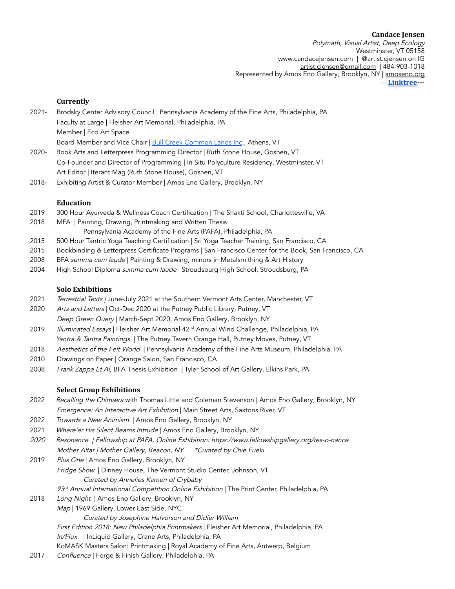**Candace Jensen** Polymath, Visual Artist, Deep Ecology Westminster, VT 05158 [www.candacejensen.com](http://www.candacejensen.com) | @artist.cjensen on IG [artist.cjensen@gmail.com](mailto:artist.cjensen@gmail.com) | 484-903-1018 Represented by Amos Eno Gallery, Brooklyn, NY | amoseno.org ---**[Linktree-](https://linktr.ee/artist.cjensen)--**

## **Currently**

2021- Brodsky Center Advisory Council | Pennsylvania Academy of the Fine Arts, Philadelphia, PA Faculty at Large | Fleisher Art Memorial, Philadelphia, PA Member | Eco Art Space

Board Member and Vice Chair | Bull Creek [Common](https://www.bullcreekcommonlands.org/) Lands Inc., Athens, VT

- 2020- Book Arts and Letterpress Programming Director | Ruth Stone House, Goshen, VT Co-Founder and Director of Programming | In Situ Polyculture Residency, Westminster, VT Art Editor | Iterant Mag (Ruth Stone House), Goshen, VT
- 2018- Exhibiting Artist & Curator Member | Amos Eno Gallery, Brooklyn, NY

### **Education**

- 2019 300 Hour Ayurveda & Wellness Coach Certification | The Shakti School, Charlottesville, VA
- 2018 MFA | Painting, Drawing, Printmaking and Written Thesis Pennsylvania Academy of the Fine Arts (PAFA), Philadelphia, PA
- 2015 500 Hour Tantric Yoga Teaching Certification | Sri Yoga Teacher Training, San Francisco, CA
- 2015 Bookbinding & Letterpress Certificate Programs | San Francisco Center for the Book, San Francisco, CA
- 2008 BFA summa cum laude | Painting & Drawing, minors in Metalsmithing & Art History
- 2004 High School Diploma summa cum laude | Stroudsburg High School, Stroudsburg, PA

### **Solo Exhibitions**

- 2021 Terrestrial Texts / June-July 2021 at the Southern Vermont Arts Center, Manchester, VT
- 2020 Arts and Letters | Oct-Dec 2020 at the Putney Public Library, Putney, VT Deep Green Query | March-Sept 2020, Amos Eno Gallery, Brooklyn, NY
- 2019 *Illuminated Essays* | Fleisher Art Memorial 42<sup>nd</sup> Annual Wind Challenge, Philadelphia, PA Yantra & Tantra Paintings | The Putney Tavern Grange Hall, Putney Moves, Putney, VT
- 2018 Aesthetics of the Felt World | Pennsylvania Academy of the Fine Arts Museum, Philadelphia, PA
- 2010 Drawings on Paper | Orange Salon, San Francisco, CA
- 2008 Frank Zappa Et Al, BFA Thesis Exhibition | Tyler School of Art Gallery, Elkins Park, PA

## **Select Group Exhibitions**

- 2022 Recalling the Chimæra with Thomas Little and Coleman Stevenson | Amos Eno Gallery, Brooklyn, NY Emergence: An Interactive Art Exhibition | Main Street Arts, Saxtons River, VT
- 2022 Towards a New Animism | Amos Eno Gallery, Brooklyn, NY
- 2021 Where'er His Silent Beams Intrude | Amos Eno Gallery, Brooklyn, NY
- <sup>2020</sup> Resonance | Fellowship at PAFA, Online Exhibition: https://www.fellowshipgallery.org/res-o-nance Mother Altar | Mother Gallery, Beacon, NY \* Curated by Chie Fueki
- 2019 Plus One | Amos Eno Gallery, Brooklyn, NY

Fridge Show | Dinney House, The Vermont Studio Center, Johnson, VT Curated by Annelies Kamen of Crybaby

93<sup>rd</sup> Annual International Competition Online Exhibition | The Print Center, Philadelphia, PA

2018 Long Night | Amos Eno Gallery, Brooklyn, NY

Map | 1969 Gallery, Lower East Side, NYC

Curated by Josephine Halvorson and Didier William

- First Edition 2018: New Philadelphia Printmakers | Fleisher Art Memorial, Philadelphia, PA
- In/Flux | InLiquid Gallery, Crane Arts, Philadelphia, PA

KoMASK Masters Salon: Printmaking | Royal Academy of Fine Arts, Antwerp, Belgium

2017 Confluence | Forge & Finish Gallery, Philadelphia, PA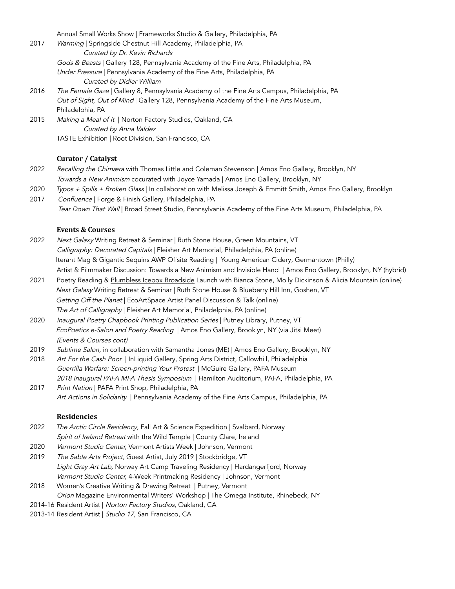Annual Small Works Show | Frameworks Studio & Gallery, Philadelphia, PA

- 2017 Warming | Springside Chestnut Hill Academy, Philadelphia, PA Curated by Dr. Kevin Richards Gods & Beasts | Gallery 128, Pennsylvania Academy of the Fine Arts, Philadelphia, PA Under Pressure | Pennsylvania Academy of the Fine Arts, Philadelphia, PA Curated by Didier William
- 2016 The Female Gaze | Gallery 8, Pennsylvania Academy of the Fine Arts Campus, Philadelphia, PA Out of Sight, Out of Mind | Gallery 128, Pennsylvania Academy of the Fine Arts Museum, Philadelphia, PA
- 2015 Making a Meal of It | Norton Factory Studios, Oakland, CA Curated by Anna Valdez TASTE Exhibition | Root Division, San Francisco, CA

# **Curator / Catalyst**

- 2022 Recalling the Chimæra with Thomas Little and Coleman Stevenson | Amos Eno Gallery, Brooklyn, NY Towards a New Animism cocurated with Joyce Yamada | Amos Eno Gallery, Brooklyn, NY
- 2020 Typos + Spills + Broken Glass | In collaboration with Melissa Joseph & Emmitt Smith, Amos Eno Gallery, Brooklyn 2017 Confluence | Forge & Finish Gallery, Philadelphia, PA
	- Tear Down That Wall | Broad Street Studio, Pennsylvania Academy of the Fine Arts Museum, Philadelphia, PA

### **Events & Courses**

- 2022 Next Galaxy Writing Retreat & Seminar | Ruth Stone House, Green Mountains, VT Calligraphy: Decorated Capitals | Fleisher Art Memorial, Philadelphia, PA (online) Iterant Mag & Gigantic Sequins AWP Offsite Reading | Young American Cidery, Germantown (Philly) Artist & Filmmaker Discussion: Towards a New Animism and Invisible Hand | Amos Eno Gallery, Brooklyn, NY (hybrid)
- 2021 Poetry Reading & Plumbless Icebox Broadside Launch with Bianca Stone, Molly Dickinson & Alicia Mountain (online) Next Galaxy Writing Retreat & Seminar | Ruth Stone House & Blueberry Hill Inn, Goshen, VT Getting Off the Planet | EcoArtSpace Artist Panel Discussion & Talk (online) The Art of Calligraphy | Fleisher Art Memorial, Philadelphia, PA (online)
- 2020 Inaugural Poetry Chapbook Printing Publication Series | Putney Library, Putney, VT EcoPoetics e-Salon and Poetry Reading | Amos Eno Gallery, Brooklyn, NY (via Jitsi Meet) (Events & Courses cont)
- 2019 Sublime Salon, in collaboration with Samantha Jones (ME) | Amos Eno Gallery, Brooklyn, NY
- 2018 Art For the Cash Poor | InLiquid Gallery, Spring Arts District, Callowhill, Philadelphia Guerrilla Warfare: Screen-printing Your Protest | McGuire Gallery, PAFA Museum 2018 Inaugural PAFA MFA Thesis Symposium | Hamilton Auditorium, PAFA, Philadelphia, PA
- 2017 Print Nation | PAFA Print Shop, Philadelphia, PA Art Actions in Solidarity | Pennsylvania Academy of the Fine Arts Campus, Philadelphia, PA

# **Residencies**

- 2022 The Arctic Circle Residency, Fall Art & Science Expedition | Svalbard, Norway Spirit of Ireland Retreat with the Wild Temple | County Clare, Ireland
- 2020 Vermont Studio Center, Vermont Artists Week | Johnson, Vermont
- 2019 The Sable Arts Project, Guest Artist, July 2019 | Stockbridge, VT Light Gray Art Lab, Norway Art Camp Traveling Residency | Hardangerfjord, Norway Vermont Studio Center, 4-Week Printmaking Residency | Johnson, Vermont
- 2018 Women's Creative Writing & Drawing Retreat | Putney, Vermont Orion Magazine Environmental Writers' Workshop | The Omega Institute, Rhinebeck, NY
- 2014-16 Resident Artist | Norton Factory Studios, Oakland, CA
- 2013-14 Resident Artist | Studio 17, San Francisco, CA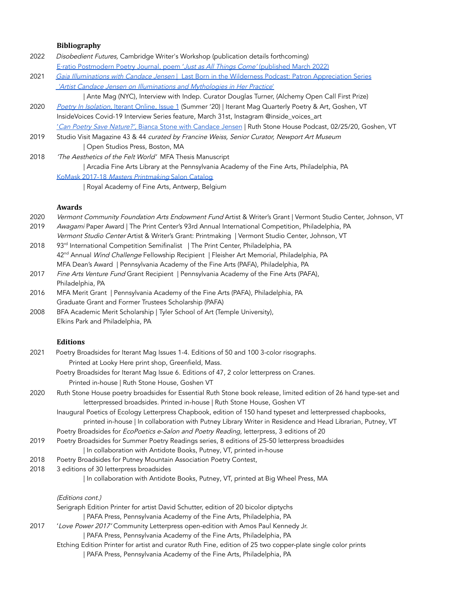### **Bibliography**

- 2022 Disobedient Futures, Cambridge Writer's Workshop (publication details forthcoming) E·ratio [Postmodern](http://eratiopostmodernpoetry.com/Jensen.html) Poetry Journal, poem 'Just as All Things Come' (published March 2022)
- 2021 Gaia Illuminations with Candace Jensen | Last Born in the Wilderness Podcast: Patron [Appreciation](https://soundcloud.com/lastborninthewilderness/clip-664971198) Series 'Artist Candace Jensen on Illuminations and [Mythologies](https://antemag.com/2021/04/30/artist-candace-jensen-on-illuminations/) in Her Practice'
- | Ante Mag (NYC), Interview with Indep. Curator Douglas Turner, (Alchemy Open Call First Prize) 2020 Poetry In [Isolation,](https://iterant.org/issue1/) Iterant Online, Issue 1 (Summer '20) | Iterant Mag Quarterly Poetry & Art, Goshen, VT InsideVoices Covid-19 Interview Series feature, March 31st, Instagram @inside\_voices\_art
	- 'Can Poetry Save Nature?', Bianca Stone with [Candace](https://podcast.ruthstonefoundation.org/podcast/can-poetry-save-nature-bianca-stone-with-candace-jensen/?fbclid=IwAR0I2n2EtscremYXn70sS4QAemsesfR6F7CqVUT1CXMa0bz-Dg7vmEor3NY) Jensen | Ruth Stone House Podcast, 02/25/20, Goshen, VT
- 2019 Studio Visit Magazine 43 & 44 curated by Francine Weiss, Senior Curator, Newport Art Museum | Open Studios Press, Boston, MA
- 2018 The Aesthetics of the Felt World' MFA Thesis Manuscript | Arcadia Fine Arts Library at the Pennsylvania Academy of the Fine Arts, Philadelphia, PA KoMask 2017-18 Masters [Printmaking](https://docs.wixstatic.com/ugd/efed50_4ed96e1206154072854872e7829eb674.pdf) Salon Catalog

| Royal Academy of Fine Arts, Antwerp, Belgium

#### **Awards**

- 2020 Vermont Community Foundation Arts Endowment Fund Artist & Writer's Grant | Vermont Studio Center, Johnson, VT
- 2019 Awagami Paper Award | The Print Center's 93rd Annual International Competition, Philadelphia, PA
- Vermont Studio Center Artist & Writer's Grant: Printmaking | Vermont Studio Center, Johnson, VT
- 2018 <sup>rd</sup> International Competition Semifinalist | The Print Center, Philadelphia, PA 42<sup>nd</sup> Annual *Wind Challenge* Fellowship Recipient | Fleisher Art Memorial, Philadelphia, PA MFA Dean's Award | Pennsylvania Academy of the Fine Arts (PAFA), Philadelphia, PA
- 2017 Fine Arts Venture Fund Grant Recipient | Pennsylvania Academy of the Fine Arts (PAFA), Philadelphia, PA
- 2016 MFA Merit Grant | Pennsylvania Academy of the Fine Arts (PAFA), Philadelphia, PA Graduate Grant and Former Trustees Scholarship (PAFA)
- 2008 BFA Academic Merit Scholarship | Tyler School of Art (Temple University), Elkins Park and Philadelphia, PA

## **Editions**

- 2021 Poetry Broadsides for Iterant Mag Issues 1-4. Editions of 50 and 100 3-color risographs. Printed at Looky Here print shop, Greenfield, Mass.
	- Poetry Broadsides for Iterant Mag Issue 6. Editions of 47, 2 color letterpress on Cranes. Printed in-house | Ruth Stone House, Goshen VT
- 2020 Ruth Stone House poetry broadsides for Essential Ruth Stone book release, limited edition of 26 hand type-set and letterpressed broadsides. Printed in-house | Ruth Stone House, Goshen VT
	- Inaugural Poetics of Ecology Letterpress Chapbook, edition of 150 hand typeset and letterpressed chapbooks, printed in-house | In collaboration with Putney Library Writer in Residence and Head Librarian, Putney, VT
	- Poetry Broadsides for *EcoPoetics e-Salon and Poetry Reading*, letterpress, 3 editions of 20
- 2019 Poetry Broadsides for Summer Poetry Readings series, 8 editions of 25-50 letterpress broadsides
	- | In collaboration with Antidote Books, Putney, VT, printed in-house
- 2018 Poetry Broadsides for Putney Mountain Association Poetry Contest,
- 2018 3 editions of 30 letterpress broadsides

| In collaboration with Antidote Books, Putney, VT, printed at Big Wheel Press, MA

(Editions cont.)

Serigraph Edition Printer for artist David Schutter, edition of 20 bicolor diptychs

| PAFA Press, Pennsylvania Academy of the Fine Arts, Philadelphia, PA

- 2017 'Love Power 2017' Community Letterpress open-edition with Amos Paul Kennedy Jr.
	- | PAFA Press, Pennsylvania Academy of the Fine Arts, Philadelphia, PA
	- Etching Edition Printer for artist and curator Ruth Fine, edition of 25 two copper-plate single color prints | PAFA Press, Pennsylvania Academy of the Fine Arts, Philadelphia, PA